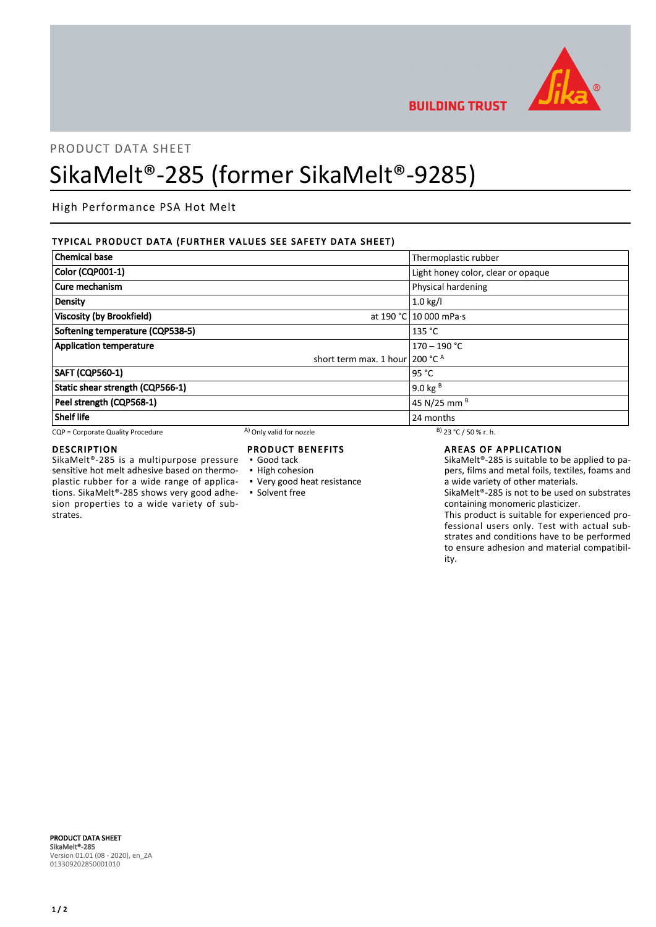

**BUILDING TRUST** 

# PRODUCT DATA SHEET SikaMelt®-285 (former SikaMelt®-9285)

High Performance PSA Hot Melt

# TYPICAL PRODUCT DATA (FURTHER VALUES SEE SAFETY DATA SHEET)

| <b>Chemical base</b>              |                                           | Thermoplastic rubber               |
|-----------------------------------|-------------------------------------------|------------------------------------|
| <b>Color (CQP001-1)</b>           |                                           | Light honey color, clear or opaque |
| Cure mechanism                    |                                           | Physical hardening                 |
| Density                           |                                           | $1.0$ kg/l                         |
| <b>Viscosity (by Brookfield)</b>  |                                           | at 190 °C 10 000 mPa·s             |
| Softening temperature (CQP538-5)  |                                           | 135 °C                             |
| <b>Application temperature</b>    |                                           | $170 - 190 °C$                     |
|                                   | short term max. 1 hour 200 $^{\circ}$ C A |                                    |
| <b>SAFT (CQP560-1)</b>            |                                           | 95 $^{\circ}$ C                    |
| Static shear strength (CQP566-1)  |                                           | 9.0 kg $^{B}$                      |
| Peel strength (CQP568-1)          |                                           | 45 N/25 mm <sup>B</sup>            |
| <b>Shelf life</b>                 |                                           | 24 months                          |
| CQP = Corporate Quality Procedure | A) Only valid for nozzle                  | $B)$ 23 °C / 50 % r. h.            |

# DESCRIPTION

SikaMelt®-285 is a multipurpose pressure sensitive hot melt adhesive based on thermoplastic rubber for a wide range of applications. SikaMelt®-285 shows very good adhesion properties to a wide variety of substrates.

# PRODUCT BENEFITS

- Good tack
- High cohesion
- Very good heat resistance
- Solvent free

# AREAS OF APPLICATION

SikaMelt®-285 is suitable to be applied to papers, films and metal foils, textiles, foams and a wide variety of other materials.

SikaMelt®-285 is not to be used on substrates containing monomeric plasticizer.

This product is suitable for experienced professional users only. Test with actual substrates and conditions have to be performed to ensure adhesion and material compatibility.